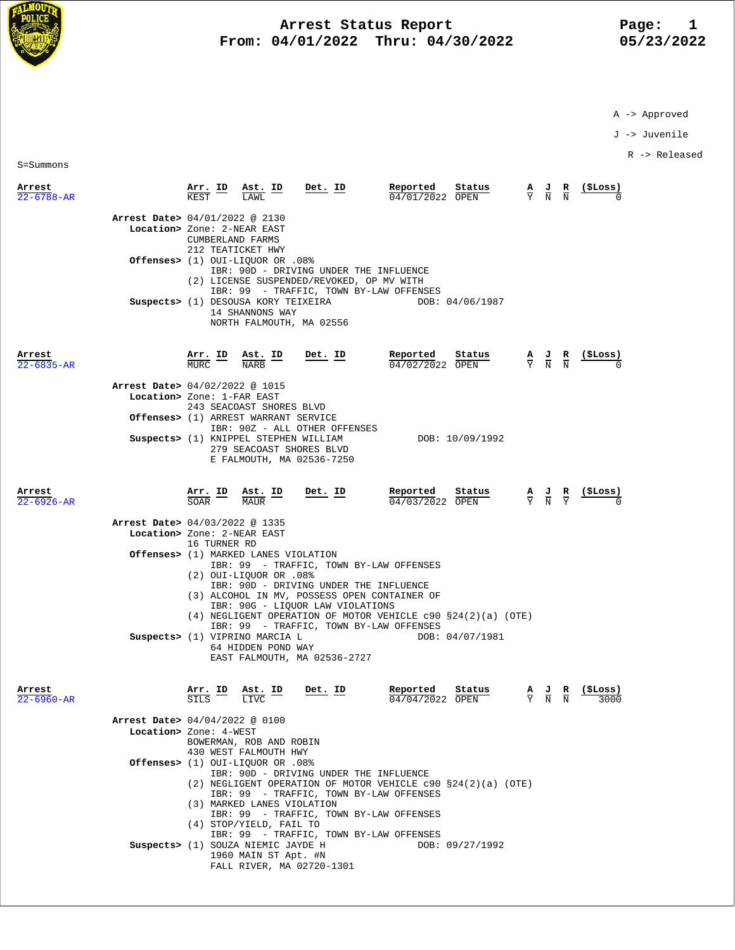

# **Arrest Status Report** Page: 1<br>04/01/2022 Thru: 04/30/2022 195/23/2022  **From: 04/01/2022 Thru: 04/30/2022 05/23/2022**

A -> Approved

J -> Juvenile

R -> Released

S=Summons

| Arrest<br>22-6788-AR           | Arr. ID                                             | Ast. ID                                                                                                            | <u>Det. ID</u>                                                                                                                                                                                                   | Reported<br>Status<br>04/01/2022<br>OPEN                       | $\frac{\mathbf{A}}{\mathbf{Y}}$ |                                           | (ŞLoss) |
|--------------------------------|-----------------------------------------------------|--------------------------------------------------------------------------------------------------------------------|------------------------------------------------------------------------------------------------------------------------------------------------------------------------------------------------------------------|----------------------------------------------------------------|---------------------------------|-------------------------------------------|---------|
| Arrest Date> 04/01/2022 @ 2130 | Location> Zone: 2-NEAR EAST<br>CUMBERLAND FARMS     | 212 TEATICKET HWY<br>Offenses> (1) OUI-LIOUOR OR .08%<br>14 SHANNONS WAY                                           | IBR: 90D - DRIVING UNDER THE INFLUENCE<br>(2) LICENSE SUSPENDED/REVOKED, OP MV WITH<br>IBR: 99 - TRAFFIC, TOWN BY-LAW OFFENSES<br>Suspects> (1) DESOUSA KORY TEIXEIRA<br>NORTH FALMOUTH, MA 02556                | DOB: 04/06/1987                                                |                                 |                                           |         |
| Arrest<br>$22 - 6835 - AR$     | $\frac{\text{Arr. ID}}{\text{MIEC}}$<br><b>MURC</b> | $\frac{\texttt{Ast.}}{\text{MAPB}}$<br><b>NARB</b>                                                                 | <u>Det. ID</u>                                                                                                                                                                                                   | Reported<br>Status<br>04/02/2022 OPEN                          |                                 | $\frac{A}{Y}$ $\frac{J}{N}$ $\frac{R}{N}$ | (ŞLoss) |
| Arrest Date> 04/02/2022 @ 1015 | Location> Zone: 1-FAR EAST                          | 243 SEACOAST SHORES BLVD                                                                                           |                                                                                                                                                                                                                  |                                                                |                                 |                                           |         |
|                                |                                                     | Offenses> (1) ARREST WARRANT SERVICE                                                                               | IBR: 90Z - ALL OTHER OFFENSES                                                                                                                                                                                    |                                                                |                                 |                                           |         |
|                                |                                                     |                                                                                                                    | Suspects> (1) KNIPPEL STEPHEN WILLIAM<br>279 SEACOAST SHORES BLVD<br>E FALMOUTH, MA 02536-7250                                                                                                                   | DOB: 10/09/1992                                                |                                 |                                           |         |
| Arrest<br>22-6926-AR           | Arr. ID<br>SOAR                                     | Ast. ID<br><b>MAUR</b>                                                                                             | $Det$ . ID                                                                                                                                                                                                       | Reported<br>Status<br>04/03/2022 OPEN                          | $\frac{A}{Y}$ $\frac{J}{N}$     | $rac{\mathbf{R}}{\mathrm{Y}}$             |         |
| Arrest Date> 04/03/2022 @ 1335 | Location> Zone: 2-NEAR EAST<br>16 TURNER RD         |                                                                                                                    |                                                                                                                                                                                                                  |                                                                |                                 |                                           |         |
|                                |                                                     | Offenses> (1) MARKED LANES VIOLATION<br>(2) OUI-LIQUOR OR .08%                                                     | IBR: 99 - TRAFFIC, TOWN BY-LAW OFFENSES<br>IBR: 90D - DRIVING UNDER THE INFLUENCE<br>(3) ALCOHOL IN MV, POSSESS OPEN CONTAINER OF<br>IBR: 90G - LIQUOR LAW VIOLATIONS<br>IBR: 99 - TRAFFIC, TOWN BY-LAW OFFENSES | $(4)$ NEGLIGENT OPERATION OF MOTOR VEHICLE c90 §24(2)(a) (OTE) |                                 |                                           |         |
|                                |                                                     | Suspects> (1) VIPRINO MARCIA L<br>64 HIDDEN POND WAY                                                               | EAST FALMOUTH, MA 02536-2727                                                                                                                                                                                     | DOB: 04/07/1981                                                |                                 |                                           |         |
| Arrest<br>$22 - 6960 - AR$     | ΙD<br>SILS                                          | Ast.<br>LIVC                                                                                                       | Det. ID                                                                                                                                                                                                          | Reported<br>Status<br>04/04/2022 OPEN                          | $rac{A}{Y}$                     | $\frac{J}{N}$<br>$\frac{R}{N}$            | 3000    |
| Arrest Date> 04/04/2022 @ 0100 | Location> Zone: 4-WEST                              | BOWERMAN, ROB AND ROBIN                                                                                            |                                                                                                                                                                                                                  |                                                                |                                 |                                           |         |
|                                |                                                     | 430 WEST FALMOUTH HWY<br>Offenses> (1) OUI-LIQUOR OR .08%<br>(3) MARKED LANES VIOLATION<br>(4) STOP/YIELD, FAIL TO | IBR: 90D - DRIVING UNDER THE INFLUENCE<br>IBR: 99 - TRAFFIC, TOWN BY-LAW OFFENSES<br>IBR: 99 - TRAFFIC, TOWN BY-LAW OFFENSES                                                                                     | (2) NEGLIGENT OPERATION OF MOTOR VEHICLE c90 §24(2)(a) (OTE)   |                                 |                                           |         |
|                                |                                                     | Suspects> (1) SOUZA NIEMIC JAYDE H<br>1960 MAIN ST Apt. #N                                                         | IBR: 99 - TRAFFIC, TOWN BY-LAW OFFENSES                                                                                                                                                                          | DOB: 09/27/1992                                                |                                 |                                           |         |

FALL RIVER, MA 02720-1301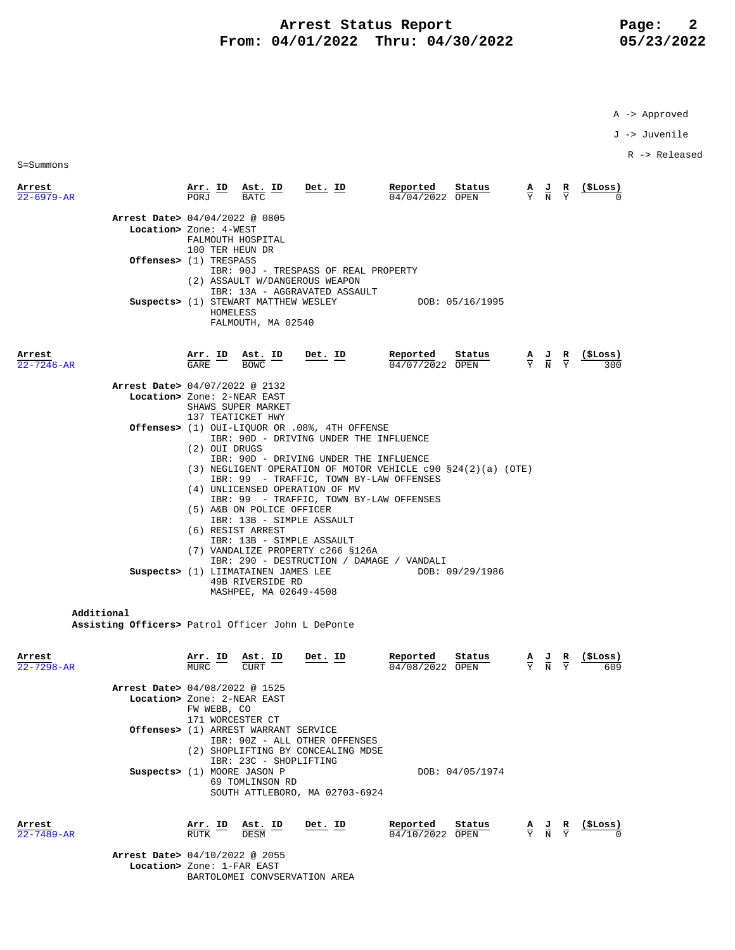## Arrest Status Report Page: 2  **From: 04/01/2022 Thru: 04/30/2022 05/23/2022**

A -> Approved

J -> Juvenile

R -> Released

S=Summons

| Arrest<br>$22 - 6979 - AR$                                    | <u>Arr. ID</u>                  | Ast. ID<br><b>BATC</b>                                  | Det. ID                                                                   | Reported<br>04/04/2022 OPEN | Status          | $\frac{A}{Y}$ $\frac{J}{N}$                      | $rac{\mathbf{R}}{\mathbf{Y}}$ | (SLoss) |
|---------------------------------------------------------------|---------------------------------|---------------------------------------------------------|---------------------------------------------------------------------------|-----------------------------|-----------------|--------------------------------------------------|-------------------------------|---------|
| Arrest Date> 04/04/2022 @ 0805                                |                                 |                                                         |                                                                           |                             |                 |                                                  |                               |         |
| Location> Zone: 4-WEST                                        |                                 |                                                         |                                                                           |                             |                 |                                                  |                               |         |
|                                                               |                                 | FALMOUTH HOSPITAL                                       |                                                                           |                             |                 |                                                  |                               |         |
| Offenses> (1) TRESPASS                                        | 100 TER HEUN DR                 |                                                         |                                                                           |                             |                 |                                                  |                               |         |
|                                                               |                                 |                                                         | IBR: 90J - TRESPASS OF REAL PROPERTY                                      |                             |                 |                                                  |                               |         |
|                                                               |                                 |                                                         | (2) ASSAULT W/DANGEROUS WEAPON                                            |                             |                 |                                                  |                               |         |
|                                                               |                                 |                                                         | IBR: 13A - AGGRAVATED ASSAULT                                             |                             |                 |                                                  |                               |         |
|                                                               | HOMELESS                        | Suspects> (1) STEWART MATTHEW WESLEY                    |                                                                           | DOB: 05/16/1995             |                 |                                                  |                               |         |
|                                                               |                                 | FALMOUTH, MA 02540                                      |                                                                           |                             |                 |                                                  |                               |         |
|                                                               |                                 |                                                         |                                                                           |                             |                 |                                                  |                               |         |
| Arrest                                                        | Arr. ID                         | Ast. ID                                                 | Det. ID                                                                   | Reported                    | Status          |                                                  | R                             | (ŞLoss) |
| $22 - 7246 - AR$                                              | GARE                            | <b>BOWC</b>                                             |                                                                           | 04/07/2022 OPEN             |                 | $\frac{A}{Y}$ $\frac{J}{N}$                      |                               |         |
|                                                               |                                 |                                                         |                                                                           |                             |                 |                                                  |                               |         |
| Arrest Date> 04/07/2022 @ 2132<br>Location> Zone: 2-NEAR EAST |                                 |                                                         |                                                                           |                             |                 |                                                  |                               |         |
|                                                               |                                 | SHAWS SUPER MARKET                                      |                                                                           |                             |                 |                                                  |                               |         |
|                                                               |                                 | 137 TEATICKET HWY                                       |                                                                           |                             |                 |                                                  |                               |         |
|                                                               |                                 |                                                         | <b>Offenses&gt;</b> (1) OUI-LIQUOR OR .08%, 4TH OFFENSE                   |                             |                 |                                                  |                               |         |
|                                                               | (2) OUI DRUGS                   |                                                         | IBR: 90D - DRIVING UNDER THE INFLUENCE                                    |                             |                 |                                                  |                               |         |
|                                                               |                                 |                                                         | IBR: 90D - DRIVING UNDER THE INFLUENCE                                    |                             |                 |                                                  |                               |         |
|                                                               |                                 |                                                         | (3) NEGLIGENT OPERATION OF MOTOR VEHICLE c90 §24(2)(a) (OTE)              |                             |                 |                                                  |                               |         |
|                                                               |                                 |                                                         | IBR: 99 - TRAFFIC, TOWN BY-LAW OFFENSES<br>(4) UNLICENSED OPERATION OF MV |                             |                 |                                                  |                               |         |
|                                                               |                                 |                                                         | IBR: 99 - TRAFFIC, TOWN BY-LAW OFFENSES                                   |                             |                 |                                                  |                               |         |
|                                                               |                                 | (5) A&B ON POLICE OFFICER                               |                                                                           |                             |                 |                                                  |                               |         |
|                                                               |                                 |                                                         | IBR: 13B - SIMPLE ASSAULT                                                 |                             |                 |                                                  |                               |         |
|                                                               |                                 | (6) RESIST ARREST                                       | IBR: 13B - SIMPLE ASSAULT                                                 |                             |                 |                                                  |                               |         |
|                                                               |                                 |                                                         | (7) VANDALIZE PROPERTY c266 §126A                                         |                             |                 |                                                  |                               |         |
|                                                               |                                 |                                                         | IBR: 290 - DESTRUCTION / DAMAGE / VANDALI                                 |                             |                 |                                                  |                               |         |
|                                                               |                                 | Suspects> (1) LIIMATAINEN JAMES LEE<br>49B RIVERSIDE RD |                                                                           |                             | DOB: 09/29/1986 |                                                  |                               |         |
|                                                               |                                 | MASHPEE, MA 02649-4508                                  |                                                                           |                             |                 |                                                  |                               |         |
|                                                               |                                 |                                                         |                                                                           |                             |                 |                                                  |                               |         |
| Additional                                                    |                                 |                                                         |                                                                           |                             |                 |                                                  |                               |         |
| Assisting Officers> Patrol Officer John L DePonte             |                                 |                                                         |                                                                           |                             |                 |                                                  |                               |         |
|                                                               |                                 |                                                         |                                                                           |                             |                 |                                                  |                               |         |
| Arrest                                                        | <u>Arr. ID</u><br>MURC.         | Ast. ID                                                 | Det. ID                                                                   | Reported                    | Status          | $\frac{\mathbf{A}}{\mathbf{Y}}$<br>$\frac{5}{5}$ |                               | (ŞLoss) |
| $22 - 7298 - AR$                                              |                                 | <b>CURT</b>                                             |                                                                           | 04/08/2022 OPEN             |                 |                                                  |                               |         |
| Arrest Date> 04/08/2022 @ 1525                                |                                 |                                                         |                                                                           |                             |                 |                                                  |                               |         |
| Location> Zone: 2-NEAR EAST                                   |                                 |                                                         |                                                                           |                             |                 |                                                  |                               |         |
|                                                               | FW WEBB, CO<br>171 WORCESTER CT |                                                         |                                                                           |                             |                 |                                                  |                               |         |
|                                                               |                                 | Offenses> (1) ARREST WARRANT SERVICE                    |                                                                           |                             |                 |                                                  |                               |         |
|                                                               |                                 |                                                         | IBR: 90Z - ALL OTHER OFFENSES                                             |                             |                 |                                                  |                               |         |
|                                                               |                                 |                                                         | (2) SHOPLIFTING BY CONCEALING MDSE                                        |                             |                 |                                                  |                               |         |
|                                                               | Suspects> (1) MOORE JASON P     | IBR: 23C - SHOPLIFTING                                  |                                                                           |                             | DOB: 04/05/1974 |                                                  |                               |         |
|                                                               |                                 | 69 TOMLINSON RD                                         |                                                                           |                             |                 |                                                  |                               |         |
|                                                               |                                 |                                                         | SOUTH ATTLEBORO, MA 02703-6924                                            |                             |                 |                                                  |                               |         |

**Arrest Arr. ID Ast. ID Det. ID Reported Status A J R (\$Loss)**  $\overline{22-7489}$ -AR RUTK  $\overline{DESM}$   $\overline{DESM}$   $\overline{O4/10/2022}$   $\overline{OPEN}$   $\overline{Y}$   $\overline{N}$   $\overline{Y}$   $\overline{O}$  **Arrest Date>** 04/10/2022 @ 2055  **Location>** Zone: 1-FAR EAST BARTOLOMEI CONVSERVATION AREA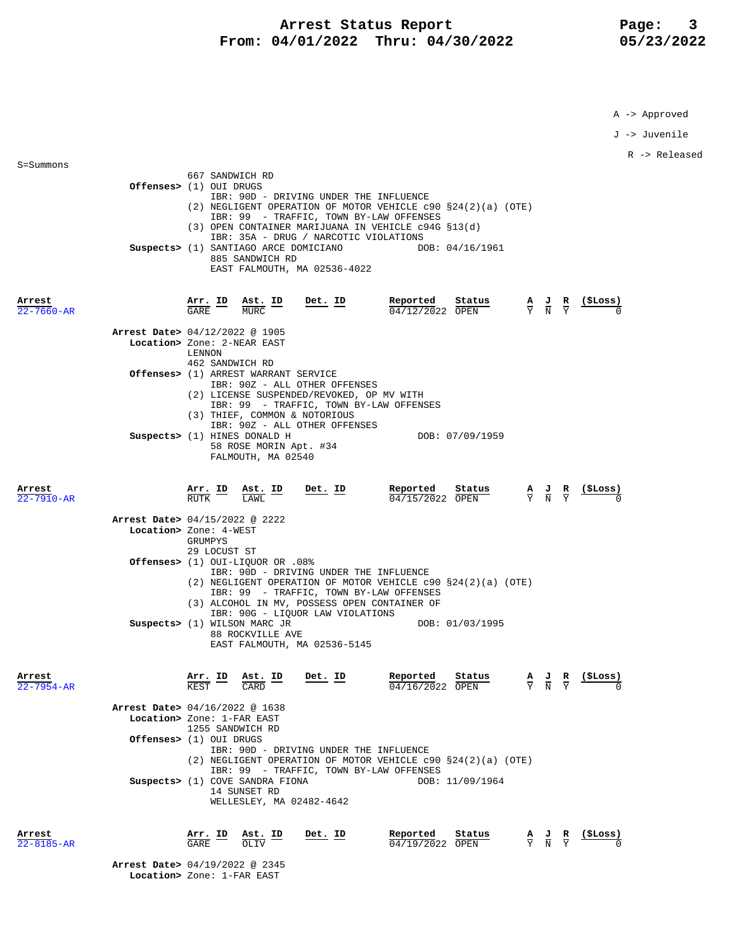# Arrest Status Report Page: 3  **From: 04/01/2022 Thru: 04/30/2022 05/23/2022**

A -> Approved

J -> Juvenile

R -> Released

| Arrest<br>$22 - 7660 - AR$ | 667 SANDWICH RD<br>Offenses> (1) OUI DRUGS<br>IBR: 90D - DRIVING UNDER THE INFLUENCE<br>$(2)$ NEGLIGENT OPERATION OF MOTOR VEHICLE c90 §24(2)(a) (OTE)<br>IBR: 99 - TRAFFIC, TOWN BY-LAW OFFENSES<br>$(3)$ OPEN CONTAINER MARIJUANA IN VEHICLE c94G §13(d)<br>IBR: 35A - DRUG / NARCOTIC VIOLATIONS<br>DOB: 04/16/1961<br>Suspects> (1) SANTIAGO ARCE DOMICIANO<br>885 SANDWICH RD<br>EAST FALMOUTH, MA 02536-4022<br>Reported<br>Status<br>Arr. ID<br>Det. ID<br>Ast. ID<br>GARE<br><b>MURC</b><br>$04/12/2022$ OPEN | $\frac{A}{Y}$ $\frac{J}{N}$ $\frac{R}{Y}$                                                       |                |
|----------------------------|-----------------------------------------------------------------------------------------------------------------------------------------------------------------------------------------------------------------------------------------------------------------------------------------------------------------------------------------------------------------------------------------------------------------------------------------------------------------------------------------------------------------------|-------------------------------------------------------------------------------------------------|----------------|
|                            | Arrest Date> 04/12/2022 @ 1905<br>Location> Zone: 2-NEAR EAST<br>LENNON<br>462 SANDWICH RD                                                                                                                                                                                                                                                                                                                                                                                                                            |                                                                                                 |                |
|                            | <b>Offenses&gt;</b> (1) ARREST WARRANT SERVICE<br>IBR: 90Z - ALL OTHER OFFENSES<br>(2) LICENSE SUSPENDED/REVOKED, OP MV WITH<br>IBR: 99 - TRAFFIC, TOWN BY-LAW OFFENSES<br>(3) THIEF, COMMON & NOTORIOUS                                                                                                                                                                                                                                                                                                              |                                                                                                 |                |
|                            | IBR: 90Z - ALL OTHER OFFENSES<br>Suspects> (1) HINES DONALD H<br>DOB: 07/09/1959<br>58 ROSE MORIN Apt. #34<br>FALMOUTH, MA 02540                                                                                                                                                                                                                                                                                                                                                                                      |                                                                                                 |                |
| Arrest<br>$22 - 7910 - AR$ | <u>Det. ID</u><br>Reported<br>Status<br><u>Arr.</u> ID<br>RUTK<br>Ast. ID<br>LAWL<br>$\overline{04/15}/2022$ OPEN                                                                                                                                                                                                                                                                                                                                                                                                     | $\frac{\mathbf{A}}{\mathbf{Y}}$ $\frac{\mathbf{J}}{\mathbf{N}}$ $\frac{\mathbf{R}}{\mathbf{Y}}$ |                |
|                            | Arrest Date> 04/15/2022 @ 2222<br>Location> Zone: 4-WEST<br>GRUMPYS<br>29 LOCUST ST                                                                                                                                                                                                                                                                                                                                                                                                                                   |                                                                                                 |                |
|                            | 0ffenses> (1) OUI-LIQUOR OR .08%<br>IBR: 90D - DRIVING UNDER THE INFLUENCE<br>(2) NEGLIGENT OPERATION OF MOTOR VEHICLE c90 §24(2)(a) (OTE)<br>IBR: 99 - TRAFFIC, TOWN BY-LAW OFFENSES<br>(3) ALCOHOL IN MV, POSSESS OPEN CONTAINER OF<br>IBR: 90G - LIQUOR LAW VIOLATIONS<br>Suspects> (1) WILSON MARC JR<br>DOB: 01/03/1995<br>88 ROCKVILLE AVE<br>EAST FALMOUTH, MA 02536-5145                                                                                                                                      |                                                                                                 |                |
| Arrest<br>22-7954-AR       | <u>Det. ID</u><br>Reported<br>$\frac{\text{Arr.}}{\text{Hence}}$ ID<br>Ast. ID<br>Status<br>KEST<br>CARD<br>04/16/2022 OPEN                                                                                                                                                                                                                                                                                                                                                                                           | $\frac{\mathbf{A}}{\mathbf{Y}}$ $\frac{\mathbf{J}}{\mathbf{N}}$ $\frac{\mathbf{R}}{\mathbf{Y}}$ | <u>(ŞLoss)</u> |
|                            | Arrest Date> 04/16/2022 @ 1638<br>Location> Zone: 1-FAR EAST<br>1255 SANDWICH RD<br>Offenses> (1) OUI DRUGS<br>IBR: 90D - DRIVING UNDER THE INFLUENCE<br>(2) NEGLIGENT OPERATION OF MOTOR VEHICLE c90 §24(2)(a) (OTE)<br>IBR: 99 - TRAFFIC, TOWN BY-LAW OFFENSES<br>Suspects> (1) COVE SANDRA FIONA<br>DOB: 11/09/1964<br>14 SUNSET RD<br>WELLESLEY, MA 02482-4642                                                                                                                                                    |                                                                                                 |                |
| Arrest<br>$22 - 8185 - AR$ | Reported<br>Arr. ID<br>Ast. ID<br>Status<br>Det. ID<br>GARE<br>$\overline{04/19/20}$ 22 OPEN<br>OLIV                                                                                                                                                                                                                                                                                                                                                                                                                  | $\frac{\mathbf{A}}{\mathbf{Y}}$ $\frac{\mathbf{J}}{\mathbf{N}}$ $\frac{\mathbf{R}}{\mathbf{Y}}$ | (\$Loss)       |

 **Arrest Date>** 04/19/2022 @ 2345  **Location>** Zone: 1-FAR EAST

S=Summons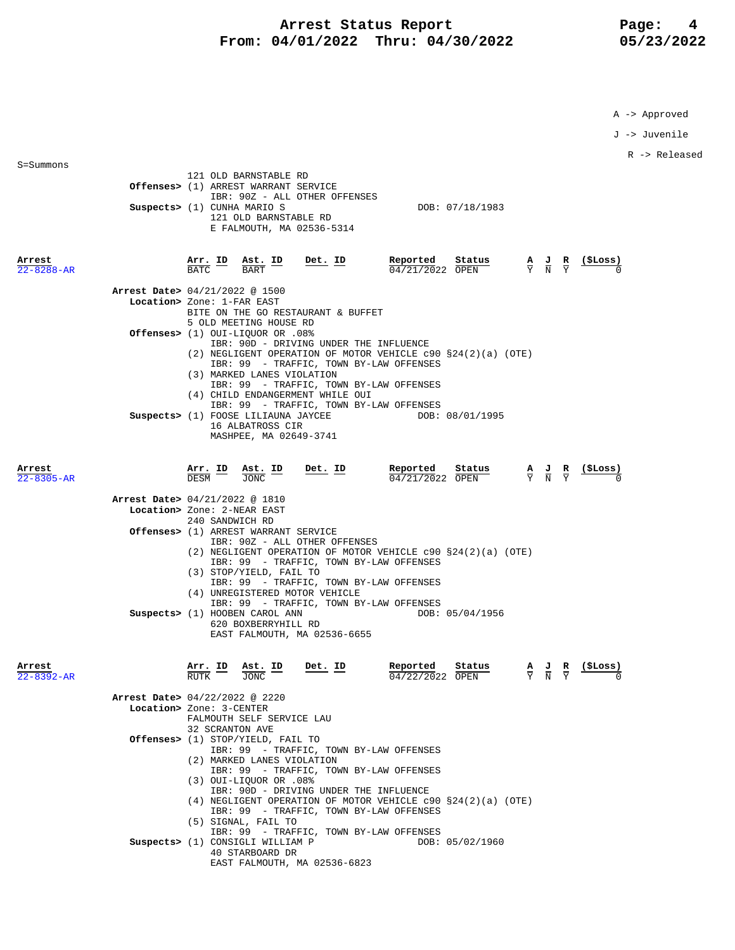### Arrest Status Report Page: 4  **From: 04/01/2022 Thru: 04/30/2022 05/23/2022**

A -> Approved

J -> Juvenile

R -> Released

40 STARBOARD DR

|                            | 121 OLD BARNSTABLE RD<br>Offenses> (1) ARREST WARRANT SERVICE<br>IBR: 90Z - ALL OTHER OFFENSES<br>Suspects> (1) CUNHA MARIO S<br>DOB: 07/18/1983<br>121 OLD BARNSTABLE RD<br>E FALMOUTH, MA 02536-5314                                                                                       |
|----------------------------|----------------------------------------------------------------------------------------------------------------------------------------------------------------------------------------------------------------------------------------------------------------------------------------------|
| Arrest<br>$22 - 8288 - AR$ | $\frac{\texttt{Arr.}}{\texttt{BATC}}$ $\frac{\texttt{ID}}{\texttt{BART}}$ $\frac{\texttt{Ast.}}{\texttt{BART}}$<br>Reported<br><b>Reported</b> Status $\frac{A}{04/21/2022}$ OPEN $\frac{A}{Y}$ $\frac{J}{N}$ $\frac{R}{Y}$<br>$Det$ . ID                                                    |
|                            | Arrest Date> 04/21/2022 @ 1500<br>Location> Zone: 1-FAR EAST<br>BITE ON THE GO RESTAURANT & BUFFET<br>5 OLD MEETING HOUSE RD                                                                                                                                                                 |
|                            | 0ffenses> (1) OUI-LIQUOR OR .08%<br>IBR: 90D - DRIVING UNDER THE INFLUENCE<br>(2) NEGLIGENT OPERATION OF MOTOR VEHICLE c90 §24(2)(a) (OTE)<br>IBR: 99 - TRAFFIC, TOWN BY-LAW OFFENSES<br>(3) MARKED LANES VIOLATION                                                                          |
|                            | IBR: 99 - TRAFFIC, TOWN BY-LAW OFFENSES<br>(4) CHILD ENDANGERMENT WHILE OUI<br>IBR: 99 - TRAFFIC, TOWN BY-LAW OFFENSES<br>Suspects> (1) FOOSE LILIAUNA JAYCEE THE DOB: 08/01/1995<br>16 ALBATROSS CIR                                                                                        |
| Arrest<br>$22 - 8305 - AR$ | MASHPEE, MA 02649-3741<br>$\frac{\text{Ast.}}{\text{TONC}}$ ID<br>$Det$ . ID<br>Reported<br>Status<br><u>Arr. ID</u><br><u>(ŞLoss)</u><br>$\frac{\mathbf{A}}{\mathbf{Y}}$ $\frac{\mathbf{J}}{\mathbf{N}}$ $\frac{\mathbf{R}}{\mathbf{Y}}$<br>$04/21/2022$ OPEN<br><b>DESM</b><br><b>JONC</b> |
|                            | Arrest Date> 04/21/2022 @ 1810<br>Location> Zone: 2-NEAR EAST<br>240 SANDWICH RD                                                                                                                                                                                                             |
|                            | Offenses> (1) ARREST WARRANT SERVICE<br>IBR: 90Z - ALL OTHER OFFENSES<br>$(2)$ NEGLIGENT OPERATION OF MOTOR VEHICLE c90 §24(2)(a) (OTE)<br>IBR: 99 - TRAFFIC, TOWN BY-LAW OFFENSES<br>(3) STOP/YIELD, FAIL TO<br>IBR: 99 - TRAFFIC, TOWN BY-LAW OFFENSES<br>(4) UNREGISTERED MOTOR VEHICLE   |
|                            | IBR: 99 - TRAFFIC, TOWN BY-LAW OFFENSES<br>Suspects> (1) HOOBEN CAROL ANN<br>DOB: 05/04/1956<br>620 BOXBERRYHILL RD<br>EAST FALMOUTH, MA 02536-6655                                                                                                                                          |
| Arrest<br>22-8392-AR       | $\frac{\text{Ast.}}{\text{max}}$<br>Det. ID<br>Reported<br>Status<br><u>(ŞLoss)</u><br>$\frac{\mathbf{A}}{\mathbf{Y}}$ $\frac{\mathbf{J}}{\mathbf{N}}$ $\frac{\mathbf{R}}{\mathbf{Y}}$<br>04/22/2022 OPEN                                                                                    |
|                            | Arrest Date> 04/22/2022 @ 2220<br>Location> Zone: 3-CENTER<br>FALMOUTH SELF SERVICE LAU                                                                                                                                                                                                      |
|                            | 32 SCRANTON AVE<br>Offenses> (1) STOP/YIELD, FAIL TO<br>IBR: 99 - TRAFFIC, TOWN BY-LAW OFFENSES<br>(2) MARKED LANES VIOLATION<br>IBR: 99 - TRAFFIC, TOWN BY-LAW OFFENSES<br>$(3)$ OUI-LIOUOR OR .08%<br>IBR: 90D - DRIVING UNDER THE INFLUENCE                                               |
|                            | (4) NEGLIGENT OPERATION OF MOTOR VEHICLE c90 §24(2)(a) (OTE)<br>IBR: 99 - TRAFFIC, TOWN BY-LAW OFFENSES<br>(5) SIGNAL, FAIL TO<br>IBR: 99 - TRAFFIC, TOWN BY-LAW OFFENSES                                                                                                                    |
|                            | Suspects> (1) CONSIGLI WILLIAM P<br>DOB: 05/02/1960                                                                                                                                                                                                                                          |

EAST FALMOUTH, MA 02536-6823